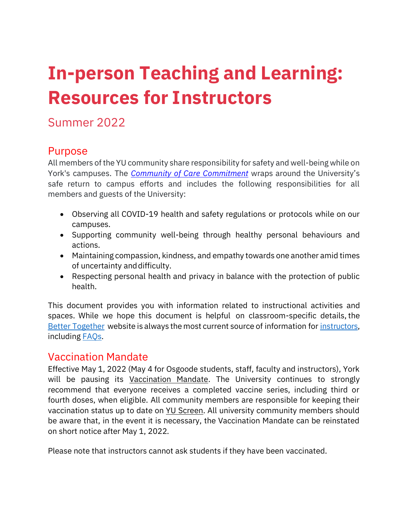# **In-person Teaching and Learning: Resources for Instructors**

## Summer 2022

## Purpose

All members of the YU community share responsibility for safety and well-being while on York's campuses. The *[Community of Care Commitment](https://www.yorku.ca/bettertogether/creating-a-community-of-care/)* wraps around the University's safe return to campus efforts and includes the following responsibilities for all members and guests of the University:

- Observing all COVID-19 health and safety regulations or protocols while on our campuses.
- Supporting community well-being through healthy personal behaviours and actions.
- Maintaining compassion, kindness, and empathy towards one another amid times of uncertainty anddifficulty.
- Respecting personal health and privacy in balance with the protection of public health.

This document provides you with information related to instructional activities and spaces. While we hope this document is helpful on classroom-specific details, the [Better Together](https://www.yorku.ca/bettertogether/) website is always the most current source of information fo[r instructors,](https://www.yorku.ca/bettertogether/faculty/) including [FAQs.](https://www.yorku.ca/bettertogether/faqs/)

### Vaccination Mandate

Effective May 1, 2022 (May 4 for Osgoode students, staff, faculty and instructors), York will be pausing its [Vaccination Mandate.](https://www.yorku.ca/secretariat/policies/policies/covid-19-vaccination-mandate/) The University continues to strongly recommend that everyone receives a completed vaccine series, including third or fourth doses, when eligible. All community members are responsible for keeping their vaccination status up to date on [YU Screen.](https://yorku.ubixhealth.com/login) All university community members should be aware that, in the event it is necessary, the Vaccination Mandate can be reinstated on short notice after May 1, 2022.

Please note that instructors cannot ask students if they have been vaccinated.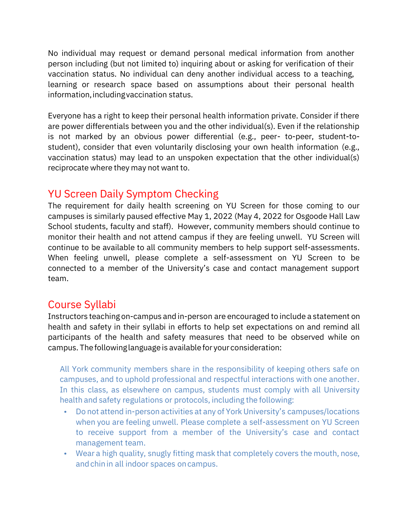No individual may request or demand personal medical information from another person including (but not limited to) inquiring about or asking for verification of their vaccination status. No individual can deny another individual access to a teaching, learning or research space based on assumptions about their personal health information,includingvaccination status.

Everyone has a right to keep their personal health information private. Consider if there are power differentials between you and the other individual(s). Even if the relationship is not marked by an obvious power differential (e.g., peer- to-peer, student-tostudent), consider that even voluntarily disclosing your own health information (e.g., vaccination status) may lead to an unspoken expectation that the other individual(s) reciprocate where they may not want to.

## YU Screen Daily Symptom Checking

The requirement for daily health screening on YU Screen for those coming to our campuses is similarly paused effective May 1, 2022 (May 4, 2022 for Osgoode Hall Law School students, faculty and staff). However, community members should continue to monitor their health and not attend campus if they are feeling unwell. YU Screen will continue to be available to all community members to help support self-assessments. When feeling unwell, please complete a self-assessment on YU Screen to be connected to a member of the University's case and contact management support team.

## Course Syllabi

Instructors teaching on-campus and in-person are encouraged to include a statement on health and safety in their syllabi in efforts to help set expectations on and remind all participants of the health and safety measures that need to be observed while on campus. Thefollowinglanguage is available for your consideration:

All York community members share in the responsibility of keeping others safe on campuses, and to uphold professional and respectful interactions with one another. In this class, as elsewhere on campus, students must comply with all University health and safety regulations or protocols, including the following:

- Do not attend in-person activities at any of York University's campuses/locations when you are feeling unwell. Please complete a self-assessment on YU Screen to receive support from a member of the University's case and contact management team.
- Wear a high quality, snugly fitting mask that completely covers the mouth, nose, and chin in all indoor spaces on campus.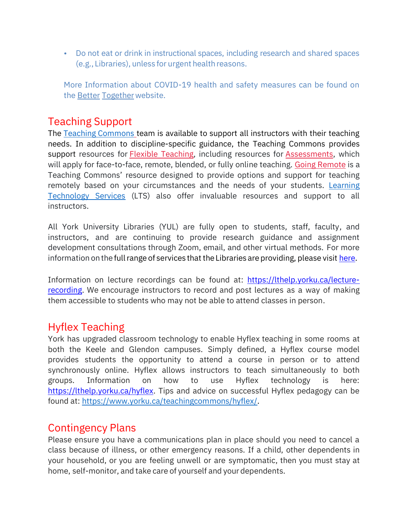• Do not eat or drink in instructional spaces, including research and shared spaces (e.g., Libraries), unless for urgent health reasons.

More Information about COVID-19 health and safety measures can be found on the [Better](https://www.yorku.ca/bettertogether/) [Together](https://www.yorku.ca/bettertogether/) website.

#### Teaching Support

The Teaching [Commons](https://www.yorku.ca/teachingcommons/) team is available to support all instructors with their teaching needs. In addition to discipline-specific guidance, the Teaching Commons provides support resources for [Flexible Teaching,](https://www.yorku.ca/teachingcommons/flexible-teaching/) including resources for [Assessments,](https://www.yorku.ca/teachingcommons/assessment/) which will apply for face-to-face, remote, blended, or fully online teaching. [Going Remote](https://bold.info.yorku.ca/) is a Teaching Commons' resource designed to provide options and support for teaching remotely based on your circumstances and the needs of your students. [Learning](https://lthelp.yorku.ca/)  [Technology Services](https://lthelp.yorku.ca/) (LTS) also offer invaluable resources and support to all instructors.

All York University Libraries (YUL) are fully open to students, staff, faculty, and instructors, and are continuing to provide research guidance and assignment development consultations through Zoom, email, and other virtual methods. For more information on the full range of services that the Libraries are providing, please visit [here.](https://www.library.yorku.ca/web/)

Information on lecture recordings can be found at: [https://lthelp.yorku.ca/lecture](https://lthelp.yorku.ca/lecture-recording)[recording.](https://lthelp.yorku.ca/lecture-recording) We encourage instructors to record and post lectures as a way of making them accessible to students who may not be able to attend classes in person.

#### Hyflex Teaching

York has upgraded classroom technology to enable Hyflex teaching in some rooms at both the Keele and Glendon campuses. Simply defined, a Hyflex course model provides students the opportunity to attend a course in person or to attend synchronously online. Hyflex allows instructors to teach simultaneously to both groups. Information on how to use Hyflex technology is here: [https://lthelp.yorku.ca/hyflex.](https://lthelp.yorku.ca/hyflex) Tips and advice on successful Hyflex pedagogy can be found at: [https://www.yorku.ca/teachingcommons/hyflex/.](https://www.yorku.ca/teachingcommons/hyflex/)

#### Contingency Plans

Please ensure you have a communications plan in place should you need to cancel a class because of illness, or other emergency reasons. If a child, other dependents in your household, or you are feeling unwell or are symptomatic, then you must stay at home, self-monitor, and take care of yourself and your dependents.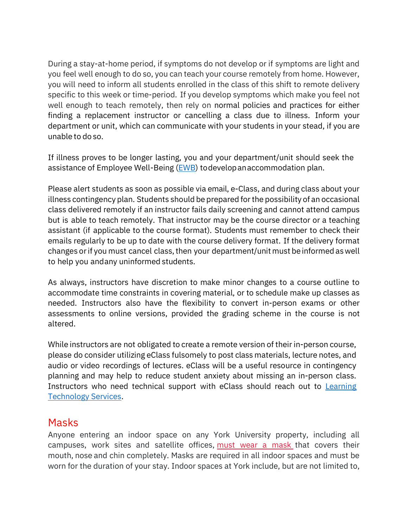During a stay-at-home period, if symptoms do not develop or if symptoms are light and you feel well enough to do so, you can teach your course remotely from home. However, you will need to inform all students enrolled in the class of this shift to remote delivery specific to this week or time-period. If you develop symptoms which make you feel not well enough to teach remotely, then rely on normal policies and practices for either finding a replacement instructor or cancelling a class due to illness. Inform your department or unit, which can communicate with your students in your stead, if you are unable to do so.

If illness proves to be longer lasting, you and your department/unit should seek the assistance of Employee Well-Being [\(EWB\)](mailto:ewb@yorku.ca) todevelop anaccommodation plan.

Please alert students as soon as possible via email, e-Class, and during class about your illness contingency plan. Students should be prepared forthe possibility of an occasional class delivered remotely if an instructor fails daily screening and cannot attend campus but is able to teach remotely. That instructor may be the course director or a teaching assistant (if applicable to the course format). Students must remember to check their emails regularly to be up to date with the course delivery format. If the delivery format changes or if you must cancel class, then your department/unit must be informed as well to help you andany uninformed students.

As always, instructors have discretion to make minor changes to a course outline to accommodate time constraints in covering material, or to schedule make up classes as needed. Instructors also have the flexibility to convert in-person exams or other assessments to online versions, provided the grading scheme in the course is not altered.

While instructors are not obligated to create a remote version of their in-person course, please do consider utilizing eClass fulsomely to post class materials, lecture notes, and audio or video recordings of lectures. eClass will be a useful resource in contingency planning and may help to reduce student anxiety about missing an in-person class. Instructors who need technical support with eClass should reach out to [Learning](https://lthelp.yorku.ca/)  [Technology Services.](https://lthelp.yorku.ca/)

#### Masks

Anyone entering an indoor space on any York University property, including all campuses, work sites and satellite offices, [must wear a mask](https://www.yorku.ca/bettertogether/wp-content/uploads/sites/299/2022/03/2022-March_YorkUniversityMaskProtocolV10-Final-EN.pdf) that covers their mouth, nose and chin completely. Masks are required in all indoor spaces and must be worn for the duration of your stay. Indoor spaces at York include, but are not limited to,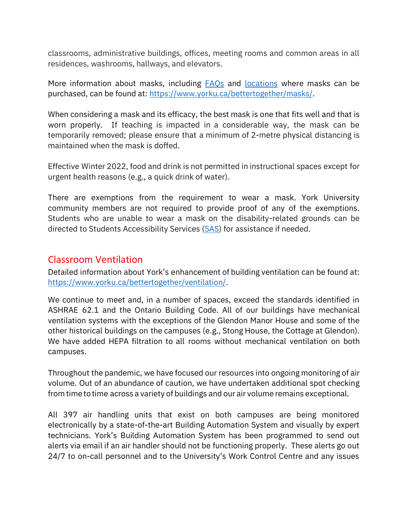classrooms, administrative buildings, offices, meeting rooms and common areas in all residences, washrooms, hallways, and elevators.

More information about masks, including [FAQs](https://www.yorku.ca/bettertogether/wp-content/uploads/sites/299/2022/03/2022-March_YorkUniversityMaskFAQs-Final-EN.pdf) and [locations](https://www.yorku.ca/facilities/covid-19-return-to-campus-2/maps-for-masks/) where masks can be purchased, can be found at: [https://www.yorku.ca/bettertogether/masks/.](https://www.yorku.ca/bettertogether/masks/)

When considering a mask and its efficacy, the best mask is one that fits well and that is worn properly. If teaching is impacted in a considerable way, the mask can be temporarily removed; please ensure that a minimum of 2-metre physical distancing is maintained when the mask is doffed.

Effective Winter 2022, food and drink is not permitted in instructional spaces except for urgent health reasons (e.g., a quick drink of water).

There are exemptions from the requirement to wear a mask. York University community members are not required to provide proof of any of the exemptions. Students who are unable to wear a mask on the disability-related grounds can be directed to Students Accessibility Services [\(SAS\)](mailto:sasreg@yorku.ca) for assistance if needed.

#### Classroom Ventilation

Detailed information about York's enhancement of building ventilation can be found at: [https://www.yorku.ca/bettertogether/ventilation/.](https://www.yorku.ca/bettertogether/ventilation/)

We continue to meet and, in a number of spaces, exceed the standards identified in ASHRAE 62.1 and the Ontario Building Code. All of our buildings have mechanical ventilation systems with the exceptions of the Glendon Manor House and some of the other historical buildings on the campuses (e.g., Stong House, the Cottage at Glendon). We have added HEPA filtration to all rooms without mechanical ventilation on both campuses.

Throughout the pandemic, we have focused our resources into ongoing monitoring of air volume. Out of an abundance of caution, we have undertaken additional spot checking from timeto time across a variety of buildings and our air volume remains exceptional.

All 397 air handling units that exist on both campuses are being monitored electronically by a state-of-the-art Building Automation System and visually by expert technicians. York's Building Automation System has been programmed to send out alerts via email if an air handler should not be functioning properly. These alerts go out 24/7 to on-call personnel and to the University's Work Control Centre and any issues